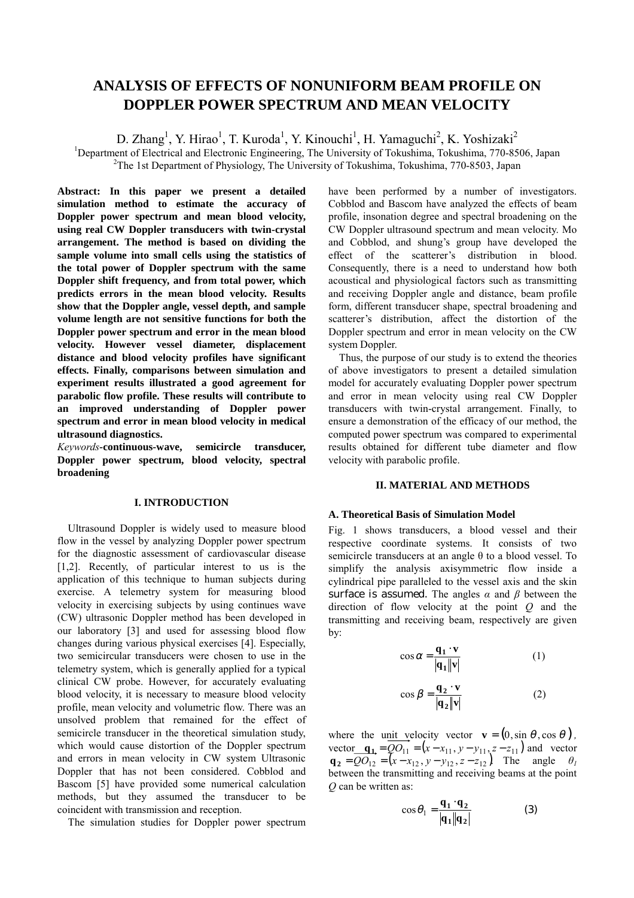# **ANALYSIS OF EFFECTS OF NONUNIFORM BEAM PROFILE ON DOPPLER POWER SPECTRUM AND MEAN VELOCITY**

D. Zhang<sup>1</sup>, Y. Hirao<sup>1</sup>, T. Kuroda<sup>1</sup>, Y. Kinouchi<sup>1</sup>, H. Yamaguchi<sup>2</sup>, K. Yoshizaki<sup>2</sup>

<sup>1</sup>Department of Electrical and Electronic Engineering, The University of Tokushima, Tokushima, 770-8506, Japan <sup>2</sup>The 1st Department of Physiology. The University of Tokushima, Tokushima, 770-8503, Japan <sup>2</sup>The 1st Department of Physiology, The University of Tokushima, Tokushima, 770-8503, Japan

**Abstract: In this paper we present a detailed simulation method to estimate the accuracy of Doppler power spectrum and mean blood velocity, using real CW Doppler transducers with twin-crystal arrangement. The method is based on dividing the sample volume into small cells using the statistics of the total power of Doppler spectrum with the same Doppler shift frequency, and from total power, which predicts errors in the mean blood velocity. Results show that the Doppler angle, vessel depth, and sample volume length are not sensitive functions for both the Doppler power spectrum and error in the mean blood velocity. However vessel diameter, displacement distance and blood velocity profiles have significant effects. Finally, comparisons between simulation and experiment results illustrated a good agreement for parabolic flow profile. These results will contribute to an improved understanding of Doppler power spectrum and error in mean blood velocity in medical ultrasound diagnostics.** 

*Keywords-***continuous-wave, semicircle transducer, Doppler power spectrum, blood velocity, spectral broadening** 

## **I. INTRODUCTION**

Ultrasound Doppler is widely used to measure blood flow in the vessel by analyzing Doppler power spectrum for the diagnostic assessment of cardiovascular disease [1,2]. Recently, of particular interest to us is the application of this technique to human subjects during exercise. A telemetry system for measuring blood velocity in exercising subjects by using continues wave (CW) ultrasonic Doppler method has been developed in our laboratory [3] and used for assessing blood flow changes during various physical exercises [4]. Especially, two semicircular transducers were chosen to use in the telemetry system, which is generally applied for a typical clinical CW probe. However, for accurately evaluating blood velocity, it is necessary to measure blood velocity profile, mean velocity and volumetric flow. There was an unsolved problem that remained for the effect of semicircle transducer in the theoretical simulation study, which would cause distortion of the Doppler spectrum and errors in mean velocity in CW system Ultrasonic Doppler that has not been considered. Cobblod and Bascom [5] have provided some numerical calculation methods, but they assumed the transducer to be coincident with transmission and reception.

The simulation studies for Doppler power spectrum

have been performed by a number of investigators. Cobblod and Bascom have analyzed the effects of beam profile, insonation degree and spectral broadening on the CW Doppler ultrasound spectrum and mean velocity. Mo and Cobblod, and shung's group have developed the effect of the scatterer's distribution in blood. Consequently, there is a need to understand how both acoustical and physiological factors such as transmitting and receiving Doppler angle and distance, beam profile form, different transducer shape, spectral broadening and scatterer's distribution, affect the distortion of the Doppler spectrum and error in mean velocity on the CW system Doppler.

Thus, the purpose of our study is to extend the theories of above investigators to present a detailed simulation model for accurately evaluating Doppler power spectrum and error in mean velocity using real CW Doppler transducers with twin-crystal arrangement. Finally, to ensure a demonstration of the efficacy of our method, the computed power spectrum was compared to experimental results obtained for different tube diameter and flow velocity with parabolic profile.

## **II. MATERIAL AND METHODS**

### **A. Theoretical Basis of Simulation Model**

Fig. 1 shows transducers, a blood vessel and their respective coordinate systems. It consists of two semicircle transducers at an angle θ to a blood vessel. To simplify the analysis axisymmetric flow inside a cylindrical pipe paralleled to the vessel axis and the skin surface is assumed. The angles *α* and *β* between the direction of flow velocity at the point *Q* and the transmitting and receiving beam, respectively are given by:

$$
\cos \alpha = \frac{\mathbf{q_1} \cdot \mathbf{v}}{|\mathbf{q_1}||\mathbf{v}|} \tag{1}
$$

$$
\cos \beta = \frac{\mathbf{q}_2 \cdot \mathbf{v}}{|\mathbf{q}_2||\mathbf{v}|}
$$
 (2)

where the unit velocity vector  $\mathbf{v} = (0, \sin \theta, \cos \theta)$ , vector  $\mathbf{q_1} = QO_{11} = (x - x_{11}, y - y_{11}, z - z_{11})$  and vector  $\mathbf{q}_2 = QO_{12} = (x - x_{12}, y - y_{12}, z - z_{12})$  The angle  $\theta_I$ between the transmitting and receiving beams at the point *Q* can be written as:

$$
\cos \theta_1 = \frac{\mathbf{q}_1 \cdot \mathbf{q}_2}{|\mathbf{q}_1||\mathbf{q}_2|} \tag{3}
$$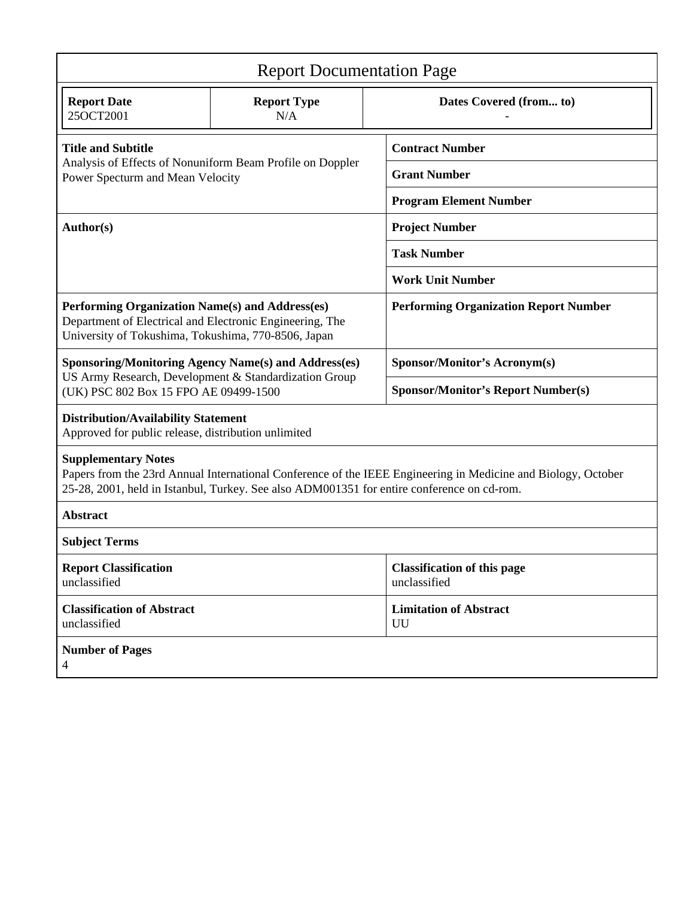| <b>Report Documentation Page</b>                                                                                                                                                                                                          |                           |                                                    |
|-------------------------------------------------------------------------------------------------------------------------------------------------------------------------------------------------------------------------------------------|---------------------------|----------------------------------------------------|
| <b>Report Date</b><br>25OCT2001                                                                                                                                                                                                           | <b>Report Type</b><br>N/A | Dates Covered (from to)                            |
| <b>Title and Subtitle</b><br>Analysis of Effects of Nonuniform Beam Profile on Doppler<br>Power Specturm and Mean Velocity                                                                                                                |                           | <b>Contract Number</b>                             |
|                                                                                                                                                                                                                                           |                           | <b>Grant Number</b>                                |
|                                                                                                                                                                                                                                           |                           | <b>Program Element Number</b>                      |
| Author(s)                                                                                                                                                                                                                                 |                           | <b>Project Number</b>                              |
|                                                                                                                                                                                                                                           |                           | <b>Task Number</b>                                 |
|                                                                                                                                                                                                                                           |                           | <b>Work Unit Number</b>                            |
| Performing Organization Name(s) and Address(es)<br>Department of Electrical and Electronic Engineering, The<br>University of Tokushima, Tokushima, 770-8506, Japan                                                                        |                           | <b>Performing Organization Report Number</b>       |
| <b>Sponsoring/Monitoring Agency Name(s) and Address(es)</b><br>US Army Research, Development & Standardization Group<br>(UK) PSC 802 Box 15 FPO AE 09499-1500                                                                             |                           | <b>Sponsor/Monitor's Acronym(s)</b>                |
|                                                                                                                                                                                                                                           |                           | <b>Sponsor/Monitor's Report Number(s)</b>          |
| <b>Distribution/Availability Statement</b><br>Approved for public release, distribution unlimited                                                                                                                                         |                           |                                                    |
| <b>Supplementary Notes</b><br>Papers from the 23rd Annual International Conference of the IEEE Engineering in Medicine and Biology, October<br>25-28, 2001, held in Istanbul, Turkey. See also ADM001351 for entire conference on cd-rom. |                           |                                                    |
| <b>Abstract</b>                                                                                                                                                                                                                           |                           |                                                    |
| <b>Subject Terms</b>                                                                                                                                                                                                                      |                           |                                                    |
| <b>Report Classification</b><br>unclassified                                                                                                                                                                                              |                           | <b>Classification of this page</b><br>unclassified |
| <b>Classification of Abstract</b><br>unclassified                                                                                                                                                                                         |                           | <b>Limitation of Abstract</b><br>UU                |
| <b>Number of Pages</b><br>$\overline{4}$                                                                                                                                                                                                  |                           |                                                    |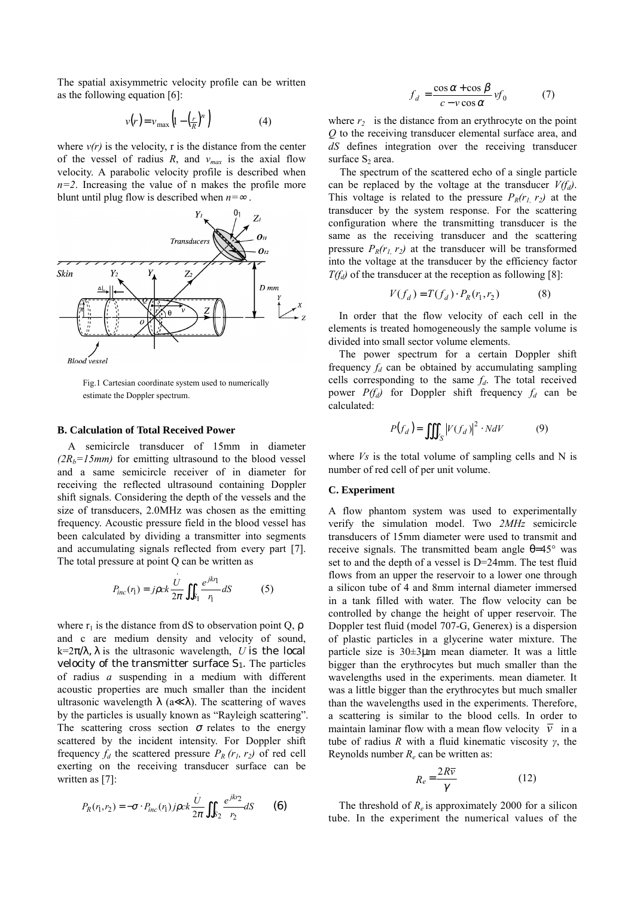The spatial axisymmetric velocity profile can be written as the following equation [6]:

$$
v(r) = v_{\text{max}} \left( 1 - \left( \frac{r}{R} \right)^n \right) \tag{4}
$$

where  $v(r)$  is the velocity, r is the distance from the center of the vessel of radius  $R$ , and  $v_{max}$  is the axial flow velocity. A parabolic velocity profile is described when  $n=2$ . Increasing the value of n makes the profile more blunt until plug flow is described when *n=* .



Fig.1 Cartesian coordinate system used to numerically estimate the Doppler spectrum.

#### **B. Calculation of Total Received Power**

A semicircle transducer of 15mm in diameter  $(2R<sub>b</sub>=15mm)$  for emitting ultrasound to the blood vessel and a same semicircle receiver of in diameter for receiving the reflected ultrasound containing Doppler shift signals. Considering the depth of the vessels and the size of transducers, 2.0MHz was chosen as the emitting frequency. Acoustic pressure field in the blood vessel has been calculated by dividing a transmitter into segments and accumulating signals reflected from every part [7]. The total pressure at point Q can be written as

$$
P_{inc}(r_1) = j\rho ck \frac{U}{2\pi} \iint_{S_1} \frac{e^{jkr_1}}{r_1} dS \tag{5}
$$

where  $r_1$  is the distance from dS to observation point Q,  $\rho$ and c are medium density and velocity of sound,  $k = 2\pi/\lambda$ ,  $\lambda$  is the ultrasonic wavelength, *U* is the local velocity of the transmitter surface  $S_1$ . The particles of radius *a* suspending in a medium with different acoustic properties are much smaller than the incident ultrasonic wavelength  $\lambda$  (a  $\lambda$ ). The scattering of waves by the particles is usually known as "Rayleigh scattering". The scattering cross section  $\sigma$  relates to the energy scattered by the incident intensity. For Doppler shift frequency  $f_d$  the scattered pressure  $P_R(r_l, r_2)$  of red cell exerting on the receiving transducer surface can be written as [7]:

$$
P_R(r_1, r_2) = -\sigma \cdot P_{inc}(r_1) \, j \rho c k \frac{\dot{U}}{2\pi} \iint_{S_2} \frac{e^{j k r_2}}{r_2} dS \qquad (6)
$$

$$
f_d = \frac{\cos \alpha + \cos \beta}{c - v \cos \alpha} v f_0 \tag{7}
$$

where  $r_2$  is the distance from an erythrocyte on the point *Q* to the receiving transducer elemental surface area, and *dS* defines integration over the receiving transducer surface  $S_2$  area.

The spectrum of the scattered echo of a single particle can be replaced by the voltage at the transducer  $V(f_d)$ . This voltage is related to the pressure  $P_R(r_1, r_2)$  at the transducer by the system response. For the scattering configuration where the transmitting transducer is the same as the receiving transducer and the scattering pressure  $P_R(r_1, r_2)$  at the transducer will be transformed into the voltage at the transducer by the efficiency factor  $T(f_d)$  of the transducer at the reception as following [8]:

$$
V(f_d) = T(f_d) \cdot P_R(r_1, r_2)
$$
 (8)

In order that the flow velocity of each cell in the elements is treated homogeneously the sample volume is divided into small sector volume elements.

The power spectrum for a certain Doppler shift frequency  $f_d$  can be obtained by accumulating sampling cells corresponding to the same  $f_d$ . The total received power  $P(f_d)$  for Doppler shift frequency  $f_d$  can be calculated:

$$
P(f_d) = \iiint_{V_S} |V(f_d)|^2 \cdot N dV \tag{9}
$$

where *Vs* is the total volume of sampling cells and N is number of red cell of per unit volume.

## **C. Experiment**

A flow phantom system was used to experimentally verify the simulation model. Two *2MHz* semicircle transducers of 15mm diameter were used to transmit and receive signals. The transmitted beam angle  $θ=45°$  was set to and the depth of a vessel is D=24mm. The test fluid flows from an upper the reservoir to a lower one through a silicon tube of 4 and 8mm internal diameter immersed in a tank filled with water. The flow velocity can be controlled by change the height of upper reservoir. The Doppler test fluid (model 707-G, Generex) is a dispersion of plastic particles in a glycerine water mixture. The particle size is 30±3µm mean diameter. It was a little bigger than the erythrocytes but much smaller than the wavelengths used in the experiments. mean diameter. It was a little bigger than the erythrocytes but much smaller than the wavelengths used in the experiments. Therefore, a scattering is similar to the blood cells. In order to maintain laminar flow with a mean flow velocity  $\overline{v}$  in a tube of radius *R* with a fluid kinematic viscosity *γ*, the Reynolds number *Re* can be written as:

$$
R_e = \frac{2R\overline{v}}{\gamma} \tag{12}
$$

The threshold of  $R_e$  is approximately 2000 for a silicon tube. In the experiment the numerical values of the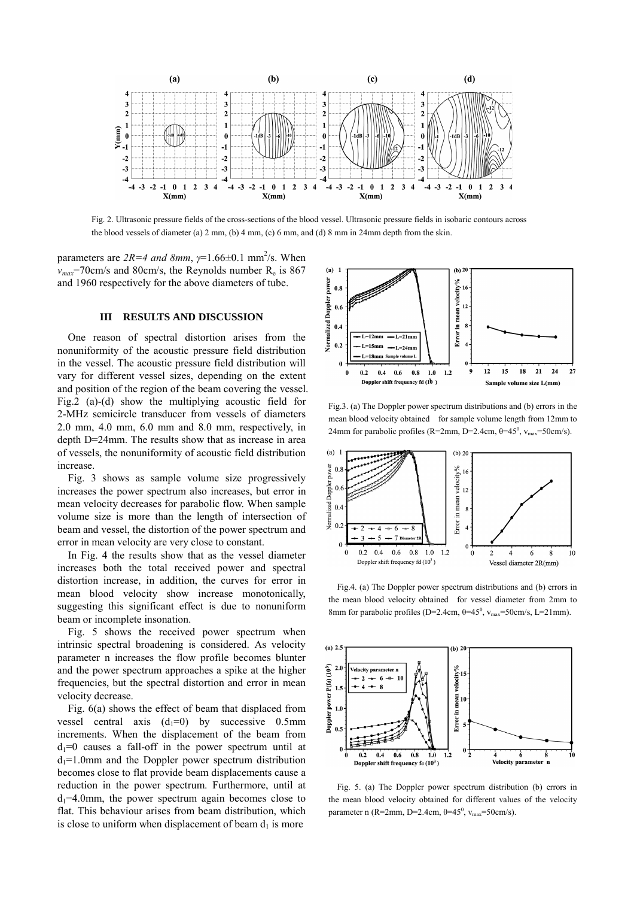

Fig. 2. Ultrasonic pressure fields of the cross-sections of the blood vessel. Ultrasonic pressure fields in isobaric contours across the blood vessels of diameter (a)  $2 \text{ mm}$ , (b)  $4 \text{ mm}$ , (c)  $6 \text{ mm}$ , and (d)  $8 \text{ mm}$  in  $24 \text{ mm}$  depth from the skin.

parameters are  $2R=4$  and  $8mm$ ,  $\gamma=1.66\pm0.1$  mm<sup>2</sup>/s. When  $v_{max}$ =70cm/s and 80cm/s, the Reynolds number  $R_e$  is 867 and 1960 respectively for the above diameters of tube.

#### **III RESULTS AND DISCUSSION**

One reason of spectral distortion arises from the nonuniformity of the acoustic pressure field distribution in the vessel. The acoustic pressure field distribution will vary for different vessel sizes, depending on the extent and position of the region of the beam covering the vessel. Fig.2 (a)-(d) show the multiplying acoustic field for 2-MHz semicircle transducer from vessels of diameters 2.0 mm, 4.0 mm, 6.0 mm and 8.0 mm, respectively, in depth D=24mm. The results show that as increase in area of vessels, the nonuniformity of acoustic field distribution increase.

Fig. 3 shows as sample volume size progressively increases the power spectrum also increases, but error in mean velocity decreases for parabolic flow. When sample volume size is more than the length of intersection of beam and vessel, the distortion of the power spectrum and error in mean velocity are very close to constant.

In Fig. 4 the results show that as the vessel diameter increases both the total received power and spectral distortion increase, in addition, the curves for error in mean blood velocity show increase monotonically, suggesting this significant effect is due to nonuniform beam or incomplete insonation.

Fig. 5 shows the received power spectrum when intrinsic spectral broadening is considered. As velocity parameter n increases the flow profile becomes blunter and the power spectrum approaches a spike at the higher frequencies, but the spectral distortion and error in mean velocity decrease.

Fig. 6(a) shows the effect of beam that displaced from vessel central axis  $(d_1=0)$  by successive 0.5mm increments. When the displacement of the beam from  $d_1=0$  causes a fall-off in the power spectrum until at  $d_1=1.0$ mm and the Doppler power spectrum distribution becomes close to flat provide beam displacements cause a reduction in the power spectrum. Furthermore, until at  $d_1=4.0$ mm, the power spectrum again becomes close to flat. This behaviour arises from beam distribution, which is close to uniform when displacement of beam  $d_1$  is more



Fig.3. (a) The Doppler power spectrum distributions and (b) errors in the mean blood velocity obtained for sample volume length from 12mm to 24mm for parabolic profiles (R=2mm, D=2.4cm,  $\theta$ =45<sup>0</sup>, v<sub>max</sub>=50cm/s).



Fig.4. (a) The Doppler power spectrum distributions and (b) errors in the mean blood velocity obtained for vessel diameter from 2mm to 8mm for parabolic profiles (D=2.4cm,  $\theta$ =45<sup>0</sup>, v<sub>max</sub>=50cm/s, L=21mm).



Fig. 5. (a) The Doppler power spectrum distribution (b) errors in the mean blood velocity obtained for different values of the velocity parameter n (R=2mm, D=2.4cm,  $\theta$ =45<sup>0</sup>, v<sub>max</sub>=50cm/s).